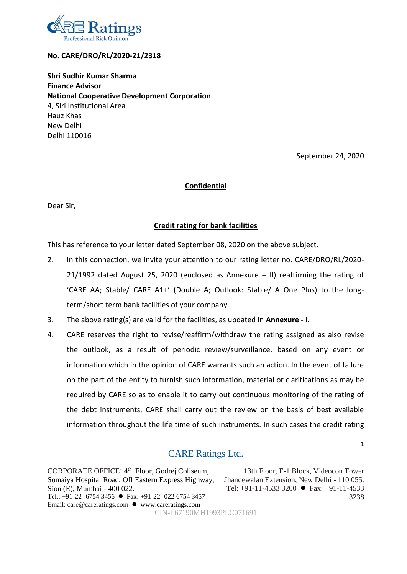

## **No. CARE/DRO/RL/2020-21/2318**

**Shri Sudhir Kumar Sharma Finance Advisor National Cooperative Development Corporation** 4, Siri Institutional Area Hauz Khas New Delhi Delhi 110016

September 24, 2020

1

3238

### **Confidential**

Dear Sir,

## **Credit rating for bank facilities**

This has reference to your letter dated September 08, 2020 on the above subject.

- 2. In this connection, we invite your attention to our rating letter no. CARE/DRO/RL/2020- 21/1992 dated August 25, 2020 (enclosed as Annexure – II) reaffirming the rating of 'CARE AA; Stable/ CARE A1+' (Double A; Outlook: Stable/ A One Plus) to the longterm/short term bank facilities of your company.
- 3. The above rating(s) are valid for the facilities, as updated in **Annexure - I**.
- 4. CARE reserves the right to revise/reaffirm/withdraw the rating assigned as also revise the outlook, as a result of periodic review/surveillance, based on any event or information which in the opinion of CARE warrants such an action. In the event of failure on the part of the entity to furnish such information, material or clarifications as may be required by CARE so as to enable it to carry out continuous monitoring of the rating of the debt instruments, CARE shall carry out the review on the basis of best available information throughout the life time of such instruments. In such cases the credit rating

# CARE Ratings Ltd.

CORPORATE OFFICE: 4<sup>th</sup> Floor, Godrej Coliseum, Somaiya Hospital Road, Off Eastern Express Highway, Sion (E), Mumbai - 400 022. Tel.: +91-22- 6754 3456 Fax: +91-22- 022 6754 3457 Email: care@careratings.com ● www.careratings.com 13th Floor, E-1 Block, Videocon Tower Jhandewalan Extension, New Delhi - 110 055. Tel: +91-11-4533 3200 Fax: +91-11-4533 CIN-L67190MH1993PLC071691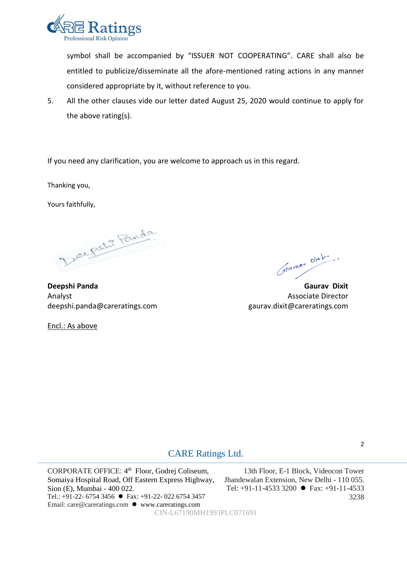

symbol shall be accompanied by "ISSUER NOT COOPERATING". CARE shall also be entitled to publicize/disseminate all the afore-mentioned rating actions in any manner considered appropriate by it, without reference to you.

5. All the other clauses vide our letter dated August 25, 2020 would continue to apply for the above rating(s).

If you need any clarification, you are welcome to approach us in this regard.

Thanking you,

Yours faithfully,

Deepste Panda

**Deepshi Panda Gaurav Dixit**  Analyst Associate Director deepshi.panda@careratings.com gaurav.dixit@careratings.com

Encl.: As above

Stammy Dinh ..

# CARE Ratings Ltd.

CORPORATE OFFICE: 4<sup>th</sup> Floor, Godrej Coliseum, Somaiya Hospital Road, Off Eastern Express Highway, Sion (E), Mumbai - 400 022. Tel.: +91-22- 6754 3456 Fax: +91-22- 022 6754 3457 Email: care@careratings.com ● www.careratings.com CIN-L67190MH1993PLC071691

13th Floor, E-1 Block, Videocon Tower Jhandewalan Extension, New Delhi - 110 055. Tel: +91-11-4533 3200 Fax: +91-11-4533 3238

2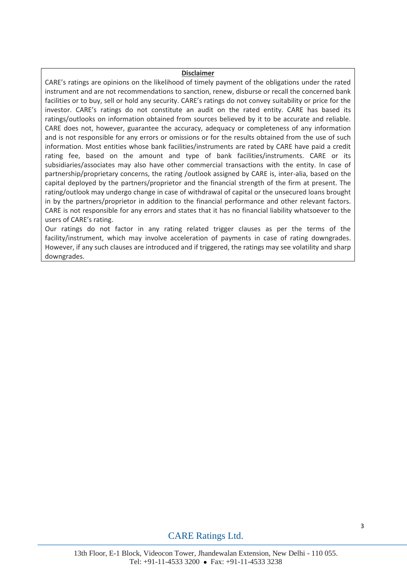#### **Disclaimer**

CARE's ratings are opinions on the likelihood of timely payment of the obligations under the rated instrument and are not recommendations to sanction, renew, disburse or recall the concerned bank facilities or to buy, sell or hold any security. CARE's ratings do not convey suitability or price for the investor. CARE's ratings do not constitute an audit on the rated entity. CARE has based its ratings/outlooks on information obtained from sources believed by it to be accurate and reliable. CARE does not, however, guarantee the accuracy, adequacy or completeness of any information and is not responsible for any errors or omissions or for the results obtained from the use of such information. Most entities whose bank facilities/instruments are rated by CARE have paid a credit rating fee, based on the amount and type of bank facilities/instruments. CARE or its subsidiaries/associates may also have other commercial transactions with the entity. In case of partnership/proprietary concerns, the rating /outlook assigned by CARE is, inter-alia, based on the capital deployed by the partners/proprietor and the financial strength of the firm at present. The rating/outlook may undergo change in case of withdrawal of capital or the unsecured loans brought in by the partners/proprietor in addition to the financial performance and other relevant factors. CARE is not responsible for any errors and states that it has no financial liability whatsoever to the users of CARE's rating.

Our ratings do not factor in any rating related trigger clauses as per the terms of the facility/instrument, which may involve acceleration of payments in case of rating downgrades. However, if any such clauses are introduced and if triggered, the ratings may see volatility and sharp downgrades.

## CARE Ratings Ltd.